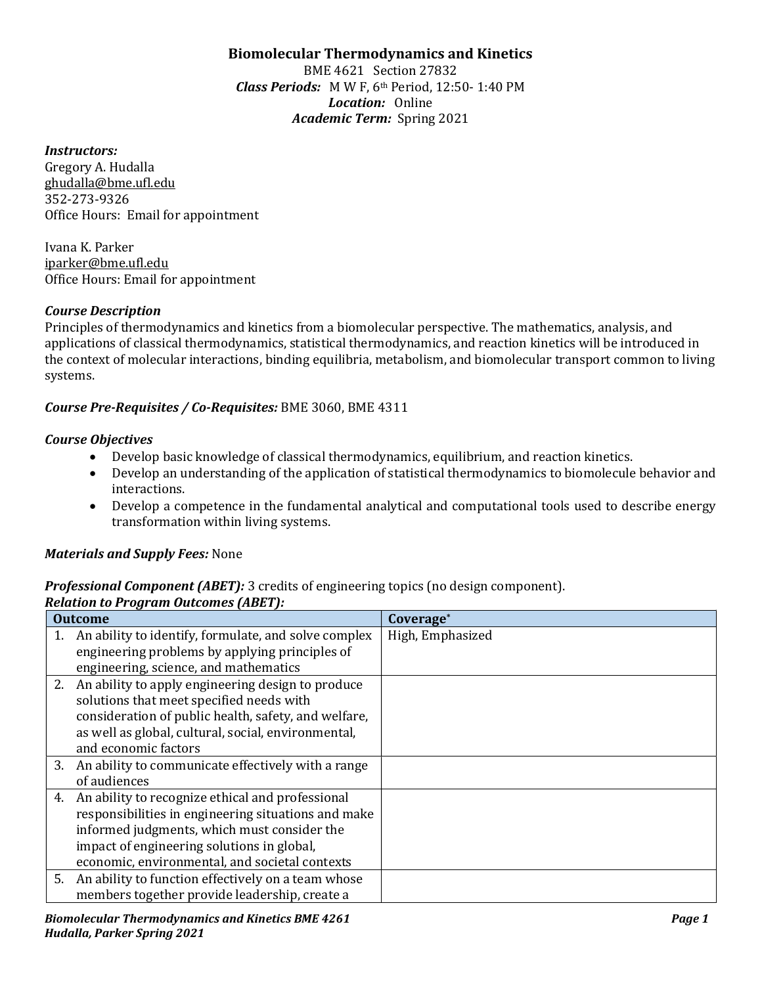# Biomolecular Thermodynamics and Kinetics

BME 4621 Section 27832 Class Periods: M W F, 6th Period, 12:50- 1:40 PM Location: Online Academic Term: Spring 2021

#### Instructors:

Gregory A. Hudalla ghudalla@bme.ufl.edu 352-273-9326 Office Hours: Email for appointment

Ivana K. Parker iparker@bme.ufl.edu Office Hours: Email for appointment

## Course Description

Principles of thermodynamics and kinetics from a biomolecular perspective. The mathematics, analysis, and applications of classical thermodynamics, statistical thermodynamics, and reaction kinetics will be introduced in the context of molecular interactions, binding equilibria, metabolism, and biomolecular transport common to living systems.

# Course Pre-Requisites / Co-Requisites: BME 3060, BME 4311

## Course Objectives

- Develop basic knowledge of classical thermodynamics, equilibrium, and reaction kinetics.
- Develop an understanding of the application of statistical thermodynamics to biomolecule behavior and interactions.
- Develop a competence in the fundamental analytical and computational tools used to describe energy transformation within living systems.

# **Materials and Supply Fees: None**

# **Professional Component (ABET):** 3 credits of engineering topics (no design component).

# Relation to Program Outcomes (ABET):

| <b>Outcome</b> |                                                                                                                                                                                                                                                        | Coverage*        |
|----------------|--------------------------------------------------------------------------------------------------------------------------------------------------------------------------------------------------------------------------------------------------------|------------------|
|                | 1. An ability to identify, formulate, and solve complex<br>engineering problems by applying principles of<br>engineering, science, and mathematics                                                                                                     | High, Emphasized |
|                | 2. An ability to apply engineering design to produce<br>solutions that meet specified needs with<br>consideration of public health, safety, and welfare,<br>as well as global, cultural, social, environmental,<br>and economic factors                |                  |
|                | 3. An ability to communicate effectively with a range<br>of audiences                                                                                                                                                                                  |                  |
| 4.             | An ability to recognize ethical and professional<br>responsibilities in engineering situations and make<br>informed judgments, which must consider the<br>impact of engineering solutions in global,<br>economic, environmental, and societal contexts |                  |
|                | 5. An ability to function effectively on a team whose<br>members together provide leadership, create a                                                                                                                                                 |                  |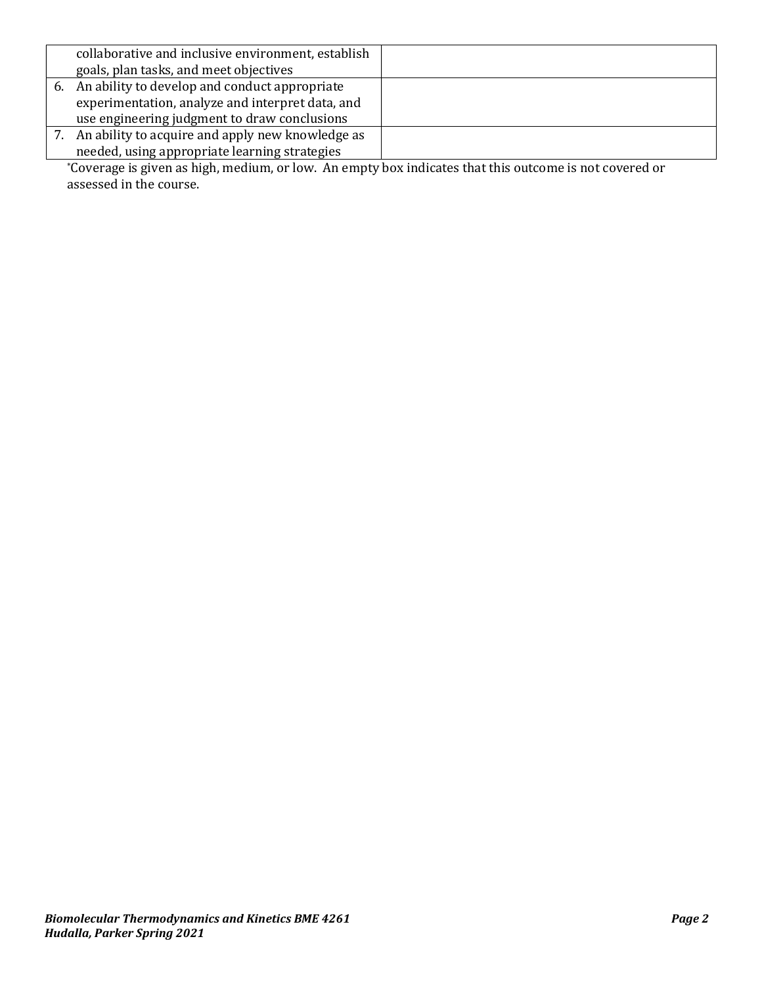| collaborative and inclusive environment, establish                                                                                                                                                                                                                                                                                                                |  |  |  |  |
|-------------------------------------------------------------------------------------------------------------------------------------------------------------------------------------------------------------------------------------------------------------------------------------------------------------------------------------------------------------------|--|--|--|--|
| goals, plan tasks, and meet objectives                                                                                                                                                                                                                                                                                                                            |  |  |  |  |
| 6. An ability to develop and conduct appropriate                                                                                                                                                                                                                                                                                                                  |  |  |  |  |
| experimentation, analyze and interpret data, and                                                                                                                                                                                                                                                                                                                  |  |  |  |  |
| use engineering judgment to draw conclusions                                                                                                                                                                                                                                                                                                                      |  |  |  |  |
| An ability to acquire and apply new knowledge as                                                                                                                                                                                                                                                                                                                  |  |  |  |  |
| needed, using appropriate learning strategies                                                                                                                                                                                                                                                                                                                     |  |  |  |  |
| $\mathbf{A} \cap \mathbf{A}$ and $\mathbf{A} \cap \mathbf{A}$ and $\mathbf{A} \cap \mathbf{A}$ and $\mathbf{A} \cap \mathbf{A}$ and $\mathbf{A} \cap \mathbf{A}$ and $\mathbf{A} \cap \mathbf{A}$ and $\mathbf{A} \cap \mathbf{A}$ and $\mathbf{A} \cap \mathbf{A}$ and $\mathbf{A} \cap \mathbf{A}$ and $\mathbf{A} \cap \mathbf{A}$ and $\mathbf{A} \cap \math$ |  |  |  |  |

\*Coverage is given as high, medium, or low. An empty box indicates that this outcome is not covered or assessed in the course.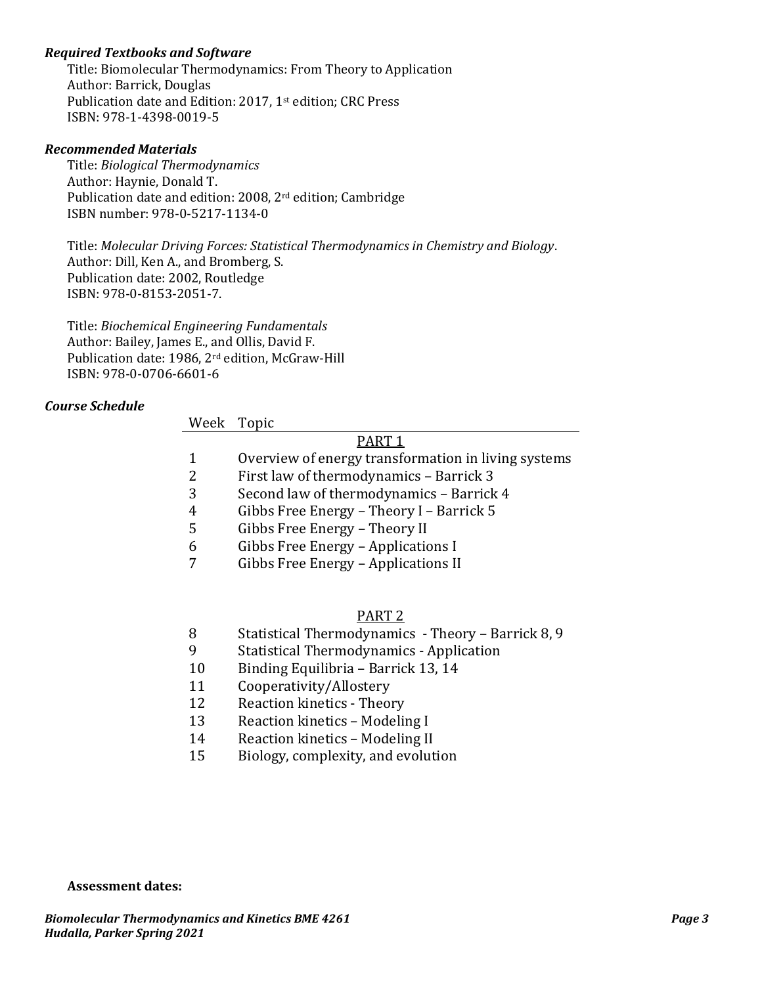## Required Textbooks and Software

Title: Biomolecular Thermodynamics: From Theory to Application Author: Barrick, Douglas Publication date and Edition: 2017, 1<sup>st</sup> edition; CRC Press ISBN: 978-1-4398-0019-5

#### Recommended Materials

Title: Biological Thermodynamics Author: Haynie, Donald T. Publication date and edition: 2008, 2<sup>rd</sup> edition; Cambridge ISBN number: 978-0-5217-1134-0

Title: Molecular Driving Forces: Statistical Thermodynamics in Chemistry and Biology. Author: Dill, Ken A., and Bromberg, S. Publication date: 2002, Routledge ISBN: 978-0-8153-2051-7.

Title: Biochemical Engineering Fundamentals Author: Bailey, James E., and Ollis, David F. Publication date: 1986, 2rd edition, McGraw-Hill ISBN: 978-0-0706-6601-6

#### Course Schedule

#### Week Topic

# PART 1

- 1 Overview of energy transformation in living systems
- 2 First law of thermodynamics Barrick 3
- 3 Second law of thermodynamics Barrick 4
- 4 Gibbs Free Energy Theory I Barrick 5
- 5 Gibbs Free Energy Theory II
- 6 Gibbs Free Energy Applications I
- 7 Gibbs Free Energy Applications II

#### PART 2

- 8 Statistical Thermodynamics Theory Barrick 8, 9
- 9 Statistical Thermodynamics Application
- 10 Binding Equilibria Barrick 13, 14
- 11 Cooperativity/Allostery
- 12 Reaction kinetics Theory
- 13 Reaction kinetics Modeling I
- 14 Reaction kinetics Modeling II
- 15 Biology, complexity, and evolution

Assessment dates: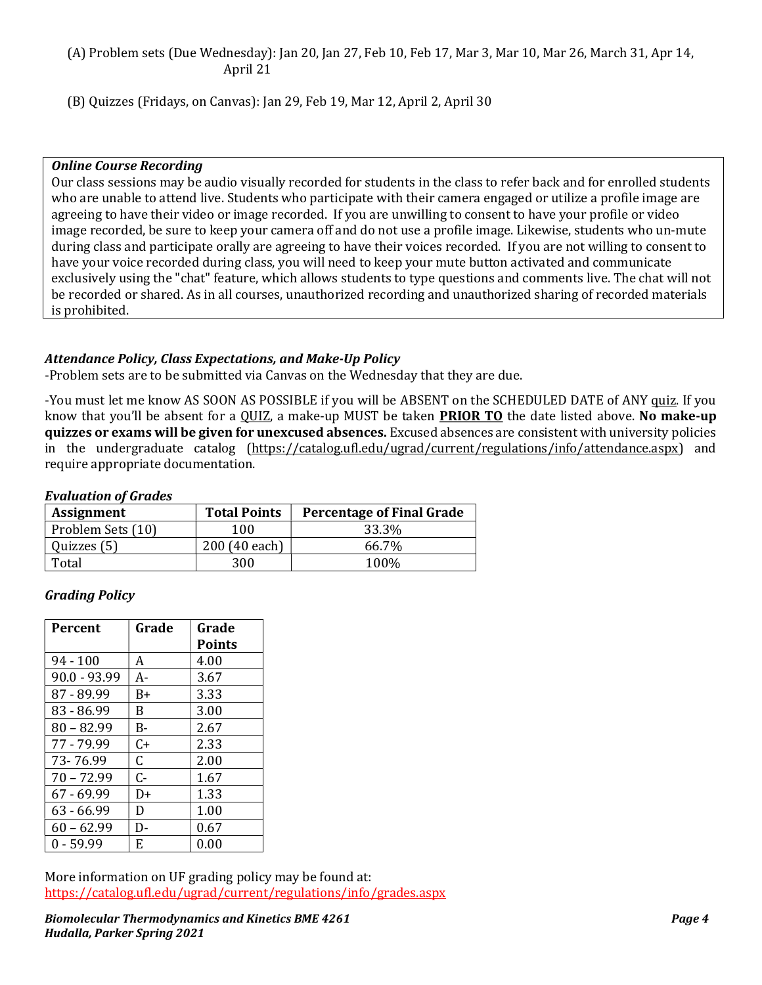## (A) Problem sets (Due Wednesday): Jan 20, Jan 27, Feb 10, Feb 17, Mar 3, Mar 10, Mar 26, March 31, Apr 14, April 21

(B) Quizzes (Fridays, on Canvas): Jan 29, Feb 19, Mar 12, April 2, April 30

#### Online Course Recording

Our class sessions may be audio visually recorded for students in the class to refer back and for enrolled students who are unable to attend live. Students who participate with their camera engaged or utilize a profile image are agreeing to have their video or image recorded. If you are unwilling to consent to have your profile or video image recorded, be sure to keep your camera off and do not use a profile image. Likewise, students who un-mute during class and participate orally are agreeing to have their voices recorded. If you are not willing to consent to have your voice recorded during class, you will need to keep your mute button activated and communicate exclusively using the "chat" feature, which allows students to type questions and comments live. The chat will not be recorded or shared. As in all courses, unauthorized recording and unauthorized sharing of recorded materials is prohibited.

## Attendance Policy, Class Expectations, and Make-Up Policy

-Problem sets are to be submitted via Canvas on the Wednesday that they are due.

-You must let me know AS SOON AS POSSIBLE if you will be ABSENT on the SCHEDULED DATE of ANY quiz. If you know that you'll be absent for a QUIZ, a make-up MUST be taken **PRIOR TO** the date listed above. No make-up quizzes or exams will be given for unexcused absences. Excused absences are consistent with university policies in the undergraduate catalog (https://catalog.ufl.edu/ugrad/current/regulations/info/attendance.aspx) and require appropriate documentation.

#### Evaluation of Grades

| <b>Assignment</b> | <b>Total Points</b> | <b>Percentage of Final Grade</b> |
|-------------------|---------------------|----------------------------------|
| Problem Sets (10) | 100                 | 33.3%                            |
| Quizzes (5)       | 200 (40 each)       | 66.7%                            |
| Total             | 300                 | 100%                             |

# Grading Policy

| Percent        | Grade | Grade         |
|----------------|-------|---------------|
|                |       | <b>Points</b> |
| $94 - 100$     | A     | 4.00          |
| $90.0 - 93.99$ | A-    | 3.67          |
| 87 - 89.99     | B+    | 3.33          |
| $83 - 86.99$   | B.    | 3.00          |
| $80 - 82.99$   | B-    | 2.67          |
| 77 - 79.99     | $C+$  | 2.33          |
| 73-76.99       | C.    | 2.00          |
| $70 - 72.99$   | $C -$ | 1.67          |
| $67 - 69.99$   | D+    | 1.33          |
| 63 - 66.99     | D     | 1.00          |
| $60 - 62.99$   | D-    | 0.67          |
| $0 - 59.99$    | E     | 0.00          |

More information on UF grading policy may be found at: https://catalog.ufl.edu/ugrad/current/regulations/info/grades.aspx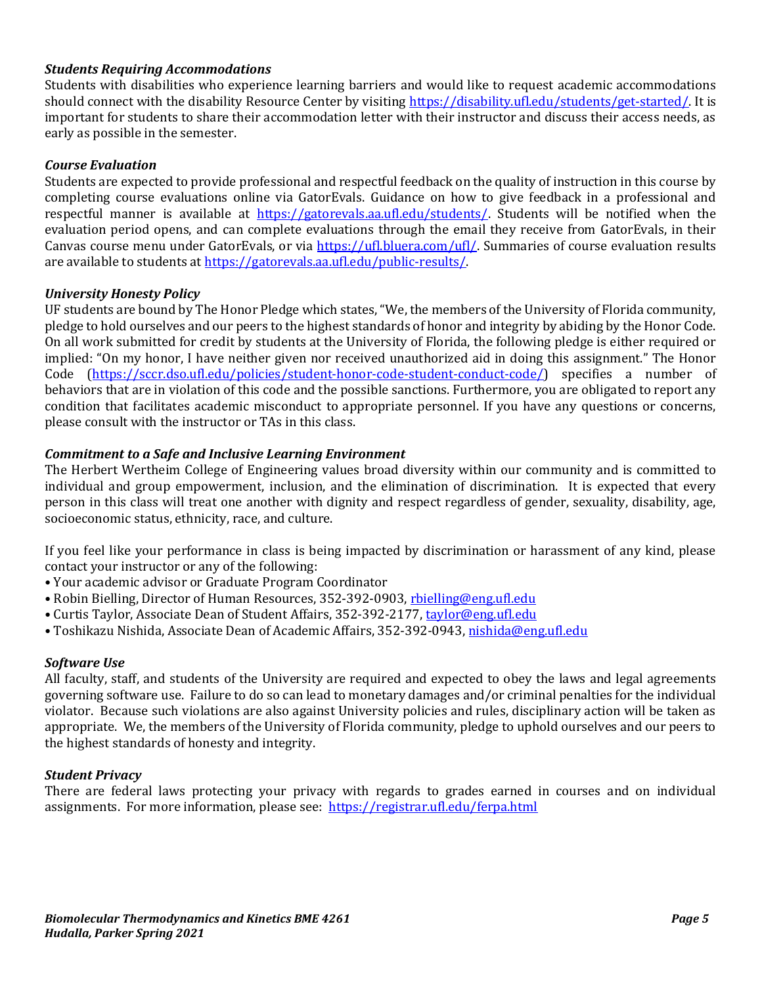## Students Requiring Accommodations

Students with disabilities who experience learning barriers and would like to request academic accommodations should connect with the disability Resource Center by visiting https://disability.ufl.edu/students/get-started/. It is important for students to share their accommodation letter with their instructor and discuss their access needs, as early as possible in the semester.

## Course Evaluation

Students are expected to provide professional and respectful feedback on the quality of instruction in this course by completing course evaluations online via GatorEvals. Guidance on how to give feedback in a professional and respectful manner is available at https://gatorevals.aa.ufl.edu/students/. Students will be notified when the evaluation period opens, and can complete evaluations through the email they receive from GatorEvals, in their Canvas course menu under GatorEvals, or via https://ufl.bluera.com/ufl/. Summaries of course evaluation results are available to students at https://gatorevals.aa.ufl.edu/public-results/.

## University Honesty Policy

UF students are bound by The Honor Pledge which states, "We, the members of the University of Florida community, pledge to hold ourselves and our peers to the highest standards of honor and integrity by abiding by the Honor Code. On all work submitted for credit by students at the University of Florida, the following pledge is either required or implied: "On my honor, I have neither given nor received unauthorized aid in doing this assignment." The Honor Code (https://sccr.dso.ufl.edu/policies/student-honor-code-student-conduct-code/) specifies a number of behaviors that are in violation of this code and the possible sanctions. Furthermore, you are obligated to report any condition that facilitates academic misconduct to appropriate personnel. If you have any questions or concerns, please consult with the instructor or TAs in this class.

## Commitment to a Safe and Inclusive Learning Environment

The Herbert Wertheim College of Engineering values broad diversity within our community and is committed to individual and group empowerment, inclusion, and the elimination of discrimination. It is expected that every person in this class will treat one another with dignity and respect regardless of gender, sexuality, disability, age, socioeconomic status, ethnicity, race, and culture.

If you feel like your performance in class is being impacted by discrimination or harassment of any kind, please contact your instructor or any of the following:

- Your academic advisor or Graduate Program Coordinator
- Robin Bielling, Director of Human Resources, 352-392-0903, rbielling@eng.ufl.edu
- Curtis Taylor, Associate Dean of Student Affairs, 352-392-2177, taylor@eng.ufl.edu
- Toshikazu Nishida, Associate Dean of Academic Affairs, 352-392-0943, nishida@eng.ufl.edu

#### Software Use

All faculty, staff, and students of the University are required and expected to obey the laws and legal agreements governing software use. Failure to do so can lead to monetary damages and/or criminal penalties for the individual violator. Because such violations are also against University policies and rules, disciplinary action will be taken as appropriate. We, the members of the University of Florida community, pledge to uphold ourselves and our peers to the highest standards of honesty and integrity.

#### Student Privacy

There are federal laws protecting your privacy with regards to grades earned in courses and on individual assignments. For more information, please see: https://registrar.ufl.edu/ferpa.html